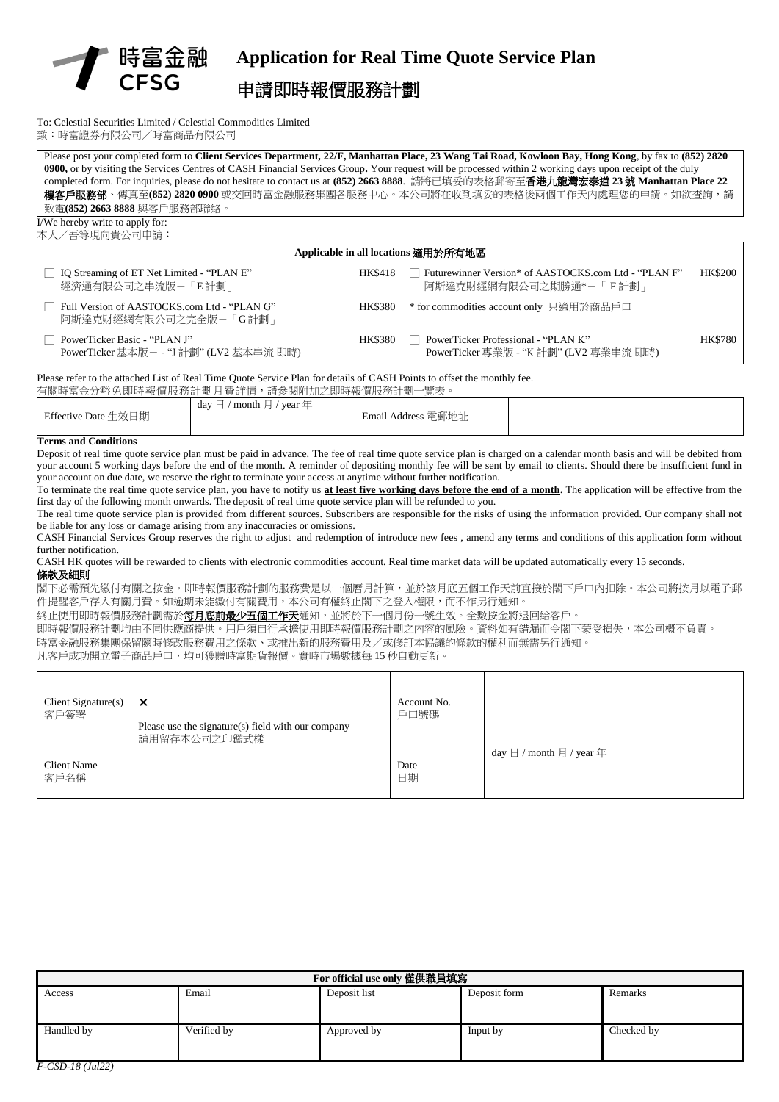

To: Celestial Securities Limited / Celestial Commodities Limited

致:時富證券有限公司/時富商品有限公司

Please post your completed form to **Client Services Department, 22/F, Manhattan Place, 23 Wang Tai Road, Kowloon Bay, Hong Kong**, by fax to **(852) 2820 0900,** or by visiting the Services Centres of CASH Financial Services Group**.** Your request will be processed within 2 working days upon receipt of the duly completed form. For inquiries, please do not hesitate to contact us at **(852) 2663 8888**. 請將已填妥的表格郵寄至香港九龍灣宏泰道 **23** 號 **Manhattan Place 22 樓客戶服務部、**傳真至(852) 2820 0900 或交回時富金融服務集團各服務中心。本公司將在收到填妥的表格後兩個工作天內處理您的申請。如欲查詢,請 致電**(852) 2663 8888** 與客戶服務部聯絡。 I/We hereby write to apply for:

本人/吾等現向貴公司申請:

| Applicable in all locations 適用於所有地區                                    |               |                                                                                     |                |  |
|------------------------------------------------------------------------|---------------|-------------------------------------------------------------------------------------|----------------|--|
| IQ Streaming of ET Net Limited - "PLAN E"<br>經濟通有限公司之串流版-「E計劃」         | HK\$418       | □ Futurewinner Version* of AASTOCKS.com Ltd - "PLAN F"<br>阿斯達克財經網有限公司之期勝通*-「 F 計劃 」 | <b>HK\$200</b> |  |
| Full Version of AASTOCKS.com Ltd - "PLAN G"<br>阿斯達克財經網有限公司之完全版-「G計劃」   | <b>HKS380</b> | * for commodities account only 只適用於商品戶口                                             |                |  |
| PowerTicker Basic - "PLAN J"<br>PowerTicker 基本版-- "J 計劃" (LV2 基本串流 即時) | HK\$380       | □ PowerTicker Professional - "PLAN K"<br>PowerTicker 專業版 - "K 計劃" (LV2 專業串流 即時)     | <b>HK\$780</b> |  |

Please refer to the attached List of Real Time Quote Service Plan for details of CASH Points to offset the monthly fee.

有關時富金分豁免即時報價服務計劃月費詳情,請參閱附加之即時報價服務計劃一覽表。

|                     | day<br>month<br>$year =$ |                    |  |
|---------------------|--------------------------|--------------------|--|
| Effective Date 生效日期 |                          | Email Address 電郵地址 |  |
|                     |                          |                    |  |

## **Terms and Conditions**

Deposit of real time quote service plan must be paid in advance. The fee of real time quote service plan is charged on a calendar month basis and will be debited from your account 5 working days before the end of the month. A reminder of depositing monthly fee will be sent by email to clients. Should there be insufficient fund in your account on due date, we reserve the right to terminate your access at anytime without further notification.

To terminate the real time quote service plan, you have to notify us **at least five working days before the end of a month**. The application will be effective from the first day of the following month onwards. The deposit of real time quote service plan will be refunded to you.

The real time quote service plan is provided from different sources. Subscribers are responsible for the risks of using the information provided. Our company shall not be liable for any loss or damage arising from any inaccuracies or omissions.

CASH Financial Services Group reserves the right to adjust and redemption of introduce new fees , amend any terms and conditions of this application form without further notification.

CASH HK quotes will be rewarded to clients with electronic commodities account. Real time market data will be updated automatically every 15 seconds. 條款及細則

閣下必需預先繳付有關之按金。即時報價服務計劃的服務費是以一個曆月計算,並於該月底五個工作天前直接於閣下戶口內扣除。本公司將按月以電子郵 件提醒客戶存入有關月費。如逾期未能繳付有關費用,本公司有權終止閣下之登入權限,而不作另行通知。

終止使用即時報價服務計劃需於<mark>每月底前最少五個工作天</mark>通知,並將於下一個月份一號生效。全數按金將退回給客戶。

即時報價服務計劃均由不同供應商提供。用戶須自行承擔使用即時報價服務計劃之內容的風險。資料如有錯漏而令閣下蒙受損失,本公司概不負責。

時富金融服務集團保留隨時修改服務費用之條款、或推出新的服務費用及/或修訂本協議的條款的權利而無需另行通知。

凡客戶成功開立電子商品戶口,均可獲贈時富期貨報價。實時市場數據每 15 秒自動更新。

| $Client$ Signature $(s)$<br>客戶簽署 | ×<br>Please use the signature(s) field with our company<br>請用留存本公司之印鑑式樣 | Account No.<br>戶口號碼 |                                                     |
|----------------------------------|-------------------------------------------------------------------------|---------------------|-----------------------------------------------------|
| Client Name<br>客戶名稱              |                                                                         | Date<br>日期          | day $\boxminus$ / month $\boxminus$ / year $\oplus$ |

| For official use only 僅供職員填寫 |             |              |              |            |
|------------------------------|-------------|--------------|--------------|------------|
| Access                       | Email       | Deposit list | Deposit form | Remarks    |
|                              |             |              |              |            |
| Handled by                   | Verified by | Approved by  | Input by     | Checked by |
|                              |             |              |              |            |
| $F$ -CSD-18 (Jul22)          |             |              |              |            |